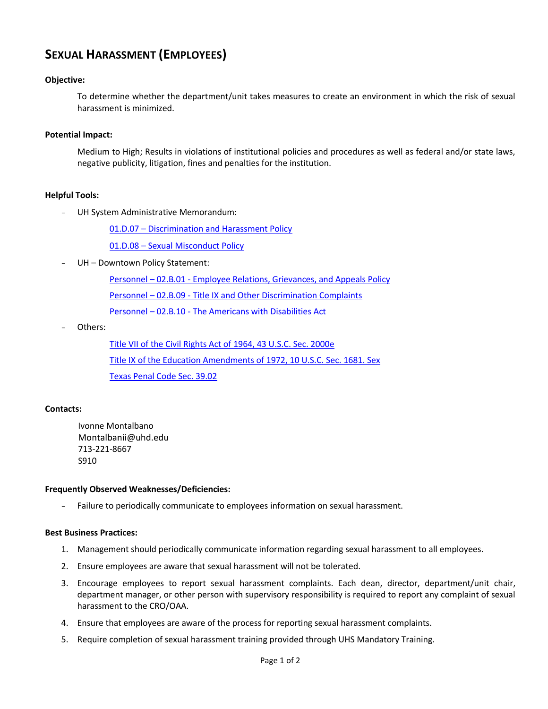# **SEXUAL HARASSMENT (EMPLOYEES)**

## **Objective:**

To determine whether the department/unit takes measures to create an environment in which the risk of sexual harassment is minimized.

### **Potential Impact:**

Medium to High; Results in violations of institutional policies and procedures as well as federal and/or state laws, negative publicity, litigation, fines and penalties for the institution.

### **Helpful Tools:**

UH System Administrative Memorandum:

01.D.07 – Discrimination and Harassment Policy

01.D.08 – Sexual Misconduct Policy

UH - Downtown Policy Statement:

[Personnel](http://www.uhd.edu/about/hr/PS02B01.pdf) – 02.B.01 - Employee Relations, Grievances, and Appeals Policy

Personnel – 02.B.09 - [Title IX and Other Discrimination Complaints](http://www.uhd.edu/about/hr/PS02B09.pdf)

Personnel – 02.B.10 - [The Americans with Disabilities Act](http://www.uhd.edu/about/hr/PS02B10.pdf) 

Others:

[Title VII of the Civil Rights Act of 1964, 43 U.S.C. Sec. 2000e](http://www.eeoc.gov/policy/vii.html) [Title IX of the Education Amendments of 1972, 10 U.S.C. Sec. 1681. Sex](http://www.usdoj.gov/crt/cor/coord/titleixstat.php#Sec. 1681. Sex) [Texas Penal Code Sec. 39.02](http://www.statutes.legis.state.tx.us/Docs/PE/htm/PE.39.htm) 

### **Contacts:**

Ivonne Montalbano Montalbanii@uhd.edu 713-221-8667 S910

#### **Frequently Observed Weaknesses/Deficiencies:**

- Failure to periodically communicate to employees information on sexual harassment.

#### **Best Business Practices:**

- 1. Management should periodically communicate information regarding sexual harassment to all employees.
- 2. Ensure employees are aware that sexual harassment will not be tolerated.
- 3. Encourage employees to report sexual harassment complaints. Each dean, director, department/unit chair, department manager, or other person with supervisory responsibility is required to report any complaint of sexual harassment to the CRO/OAA.
- 4. Ensure that employees are aware of the process for reporting sexual harassment complaints.
- 5. Require completion of sexual harassment training provided through UHS Mandatory Training.